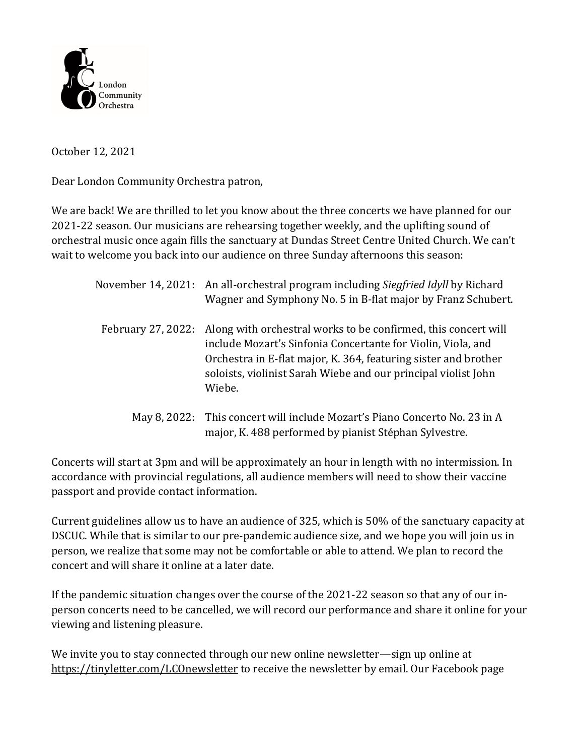

October 12, 2021

Dear London Community Orchestra patron,

We are back! We are thrilled to let you know about the three concerts we have planned for our 2021-22 season. Our musicians are rehearsing together weekly, and the uplifting sound of orchestral music once again fills the sanctuary at Dundas Street Centre United Church. We can't wait to welcome you back into our audience on three Sunday afternoons this season:

|                    | November 14, 2021: An all-orchestral program including <i>Siegfried Idyll</i> by Richard<br>Wagner and Symphony No. 5 in B-flat major by Franz Schubert.                                                                                                                      |
|--------------------|-------------------------------------------------------------------------------------------------------------------------------------------------------------------------------------------------------------------------------------------------------------------------------|
| February 27, 2022: | Along with orchestral works to be confirmed, this concert will<br>include Mozart's Sinfonia Concertante for Violin, Viola, and<br>Orchestra in E-flat major, K. 364, featuring sister and brother<br>soloists, violinist Sarah Wiebe and our principal violist John<br>Wiebe. |
|                    | May 8, 2022: This concert will include Mozart's Piano Concerto No. 23 in A<br>major, K. 488 performed by pianist Stéphan Sylvestre.                                                                                                                                           |

Concerts will start at 3pm and will be approximately an hour in length with no intermission. In accordance with provincial regulations, all audience members will need to show their vaccine passport and provide contact information.

Current guidelines allow us to have an audience of 325, which is 50% of the sanctuary capacity at DSCUC. While that is similar to our pre-pandemic audience size, and we hope you will join us in person, we realize that some may not be comfortable or able to attend. We plan to record the concert and will share it online at a later date.

If the pandemic situation changes over the course of the  $2021-22$  season so that any of our inperson concerts need to be cancelled, we will record our performance and share it online for your viewing and listening pleasure.

We invite you to stay connected through our new online newsletter—sign up online at https://tinyletter.com/LCOnewsletter to receive the newsletter by email. Our Facebook page